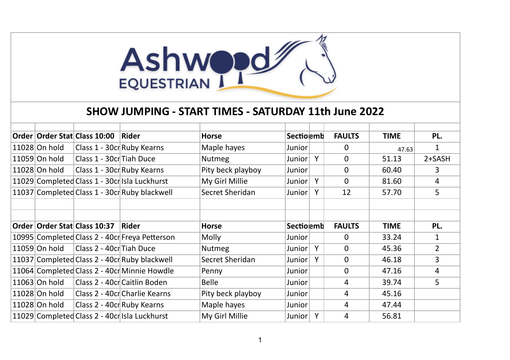

## **SHOW JUMPING - START TIMES - SATURDAY 11th June 2022**

|               | Order Order Stat Class 10:00     | Rider                                          | <b>Horse</b>      | Sectiolemb |   | <b>FAULTS</b> | <b>TIME</b> | PL.            |
|---------------|----------------------------------|------------------------------------------------|-------------------|------------|---|---------------|-------------|----------------|
| 11028 On hold | Class 1 - 30cr Ruby Kearns       |                                                | Maple hayes       | Junior     |   | $\mathbf{0}$  | 47.63       |                |
| 11059 On hold | Class 1 - 30cr Tiah Duce         |                                                | <b>Nutmeg</b>     | Junior     | Y | $\mathbf{0}$  | 51.13       | $2+SASH$       |
| 11028 On hold |                                  | Class 1 - 30cr Ruby Kearns                     | Pity beck playboy | Junior     |   | $\mathbf 0$   | 60.40       | 3              |
|               |                                  | 11029 Completed Class 1 - 30cr Isla Luckhurst  | My Girl Millie    | Junior     | Y | $\mathbf 0$   | 81.60       | $\overline{4}$ |
|               |                                  | 11037 Completed Class 1 - 30cr Ruby blackwell  | Secret Sheridan   | Junior     | Y | 12            | 57.70       | 5              |
|               |                                  |                                                |                   |            |   |               |             |                |
|               |                                  |                                                |                   |            |   |               |             |                |
|               | Order   Order Stat   Class 10:37 | Rider                                          | <b>Horse</b>      | Sectiolemb |   | <b>FAULTS</b> | <b>TIME</b> | PL.            |
|               |                                  | 10995 Completed Class 2 - 40cr Freya Petterson | <b>Molly</b>      | Junior     |   | $\Omega$      | 33.24       | $\mathbf{1}$   |
| 11059 On hold | Class 2 - 40cr Tiah Duce         |                                                | <b>Nutmeg</b>     | Junior     | Y | $\mathbf{0}$  | 45.36       | $\overline{2}$ |
|               |                                  | 11037 Completed Class 2 - 40cr Ruby blackwell  | Secret Sheridan   | Junior     | Y | $\mathbf{0}$  | 46.18       | 3              |
|               |                                  | 11064 Completed Class 2 - 40cr Minnie Howdle   | Penny             | Junior     |   | $\mathbf{0}$  | 47.16       | 4              |
| 11063 On hold |                                  | Class 2 - 40cr Caitlin Boden                   | <b>Belle</b>      | Junior     |   | 4             | 39.74       | 5              |
| 11028 On hold |                                  | Class 2 - 40cr Charlie Kearns                  | Pity beck playboy | Junior     |   | 4             | 45.16       |                |
| 11028 On hold | Class 2 - 40cr Ruby Kearns       |                                                | Maple hayes       | Junior     |   | 4             | 47.44       |                |
|               |                                  | 11029 Completed Class 2 - 40cr Isla Luckhurst  | My Girl Millie    | Junior     |   | 4             | 56.81       |                |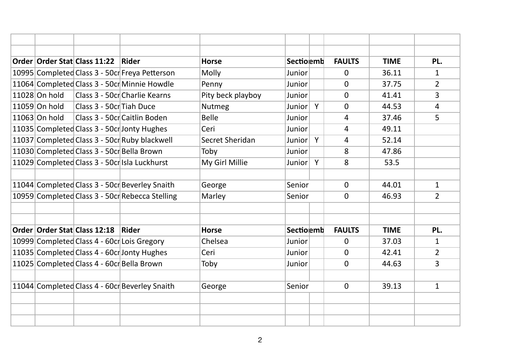|               | Order Order Stat Class 11:22               | <b>Rider</b>                                    | <b>Horse</b>      | Sectionemb |   | <b>FAULTS</b> | <b>TIME</b> | PL.            |
|---------------|--------------------------------------------|-------------------------------------------------|-------------------|------------|---|---------------|-------------|----------------|
|               |                                            | 10995 Completed Class 3 - 50cr Freya Petterson  | Molly             | Junior     |   | $\Omega$      | 36.11       | 1              |
|               |                                            | 11064 Completed Class 3 - 50cr Minnie Howdle    | Penny             | Junior     |   | $\Omega$      | 37.75       | $\overline{2}$ |
| 11028 On hold |                                            | Class 3 - 50cr Charlie Kearns                   | Pity beck playboy | Junior     |   | $\mathbf{0}$  | 41.41       | 3              |
| 11059 On hold | Class 3 - 50cr Tiah Duce                   |                                                 | <b>Nutmeg</b>     | Junior Y   |   | $\Omega$      | 44.53       | $\overline{4}$ |
| 11063 On hold |                                            | Class 3 - 50cr Caitlin Boden                    | <b>Belle</b>      | Junior     |   | 4             | 37.46       | 5              |
|               |                                            | 11035 Completed Class 3 - 50cr Jonty Hughes     | Ceri              | Junior     |   | 4             | 49.11       |                |
|               |                                            | 11037 Completed Class 3 - 50cr Ruby blackwell   | Secret Sheridan   | Junior     | Y | 4             | 52.14       |                |
|               | 11030 Completed Class 3 - 50cr Bella Brown |                                                 | Toby              | Junior     |   | 8             | 47.86       |                |
|               |                                            | 11029 Completed Class 3 - 50cr Isla Luckhurst   | My Girl Millie    | Junior     | Y | 8             | 53.5        |                |
|               |                                            |                                                 |                   |            |   |               |             |                |
|               |                                            | 11044 Completed Class 3 - 50cr Beverley Snaith  | George            | Senior     |   | $\mathbf{0}$  | 44.01       | $\mathbf{1}$   |
|               |                                            | 10959 Completed Class 3 - 50cr Rebecca Stelling | Marley            | Senior     |   | $\mathbf{0}$  | 46.93       | $\overline{2}$ |
|               |                                            |                                                 |                   |            |   |               |             |                |
|               |                                            |                                                 |                   |            |   |               |             |                |
|               | Order Order Stat Class 12:18               | <b>Rider</b>                                    | <b>Horse</b>      | Sectionemb |   | <b>FAULTS</b> | <b>TIME</b> | PL.            |
|               |                                            | 10999 Completed Class 4 - 60cr Lois Gregory     | Chelsea           | Junior     |   | $\Omega$      | 37.03       | 1              |
|               |                                            | 11035 Completed Class 4 - 60cr Jonty Hughes     | Ceri              | Junior     |   | $\mathbf{0}$  | 42.41       | $\overline{2}$ |
|               | 11025 Completed Class 4 - 60cr Bella Brown |                                                 | Toby              | Junior     |   | $\Omega$      | 44.63       | 3              |
|               |                                            |                                                 |                   |            |   |               |             |                |
|               |                                            | 11044 Completed Class 4 - 60cr Beverley Snaith  | George            | Senior     |   | $\mathbf 0$   | 39.13       | $\mathbf{1}$   |
|               |                                            |                                                 |                   |            |   |               |             |                |
|               |                                            |                                                 |                   |            |   |               |             |                |
|               |                                            |                                                 |                   |            |   |               |             |                |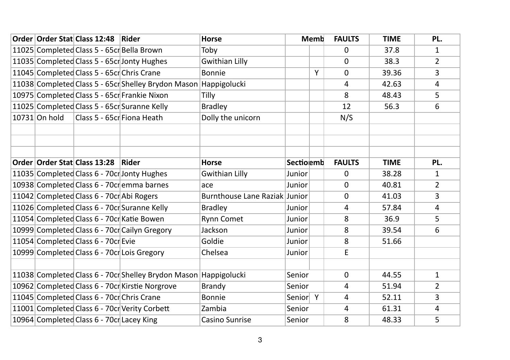|                 | Order Order Stat Class 12:48   Rider       |                                                                  | <b>Horse</b>                  |            | Memb | <b>FAULTS</b> | <b>TIME</b> | PL.            |
|-----------------|--------------------------------------------|------------------------------------------------------------------|-------------------------------|------------|------|---------------|-------------|----------------|
|                 | 11025 Completed Class 5 - 65cr Bella Brown |                                                                  | Toby                          |            |      | $\Omega$      | 37.8        | 1              |
|                 |                                            | 11035 Completed Class 5 - 65cr Jonty Hughes                      | <b>Gwithian Lilly</b>         |            |      | $\Omega$      | 38.3        | $\overline{2}$ |
|                 | 11045 Completed Class 5 - 65cr Chris Crane |                                                                  | <b>Bonnie</b>                 |            | Y    | $\mathbf 0$   | 39.36       | 3              |
|                 |                                            | 11038 Completed Class 5 - 65cr Shelley Brydon Mason              | Happigolucki                  |            |      | 4             | 42.63       | $\overline{4}$ |
|                 |                                            | 10975 Completed Class 5 - 65cr Frankie Nixon                     | Tilly                         |            |      | 8             | 48.43       | 5              |
|                 |                                            | 11025 Completed Class 5 - 65cr Suranne Kelly                     | <b>Bradley</b>                |            |      | 12            | 56.3        | 6              |
| $10731$ On hold | Class 5 - 65cr Fiona Heath                 |                                                                  | Dolly the unicorn             |            |      | N/S           |             |                |
|                 |                                            |                                                                  |                               |            |      |               |             |                |
|                 |                                            |                                                                  |                               |            |      |               |             |                |
|                 |                                            |                                                                  |                               |            |      |               |             |                |
|                 | Order Order Stat Class 13:28 Rider         |                                                                  | <b>Horse</b>                  | Sectiolemb |      | <b>FAULTS</b> | <b>TIME</b> | PL.            |
|                 |                                            | 11035 Completed Class 6 - 70cr Jonty Hughes                      | <b>Gwithian Lilly</b>         | Junior     |      | $\mathbf 0$   | 38.28       | $\mathbf{1}$   |
|                 |                                            | 10938 Completed Class 6 - 70cr emma barnes                       | ace                           | Junior     |      | $\Omega$      | 40.81       | $\overline{2}$ |
|                 | 11042 Completed Class 6 - 70cr Abi Rogers  |                                                                  | Burnthouse Lane Raziak Junior |            |      | $\Omega$      | 41.03       | 3              |
|                 |                                            | 11026 Completed Class 6 - 70cr Suranne Kelly                     | <b>Bradley</b>                | Junior     |      | 4             | 57.84       | $\overline{4}$ |
|                 |                                            | 11054 Completed Class 6 - 70cr Katie Bowen                       | <b>Rynn Comet</b>             | Junior     |      | 8             | 36.9        | 5              |
|                 |                                            | 10999 Completed Class 6 - 70cr Cailyn Gregory                    | Jackson                       | Junior     |      | 8             | 39.54       | 6              |
|                 | 11054 Completed Class 6 - 70cr Evie        |                                                                  | Goldie                        | Junior     |      | 8             | 51.66       |                |
|                 |                                            | 10999 Completed Class 6 - 70cr Lois Gregory                      | Chelsea                       | Junior     |      | E             |             |                |
|                 |                                            |                                                                  |                               |            |      |               |             |                |
|                 |                                            | 11038 Completed Class 6 - 70cr Shelley Brydon Mason Happigolucki |                               | Senior     |      | $\mathbf{0}$  | 44.55       | $\mathbf{1}$   |
|                 |                                            | 10962 Completed Class 6 - 70cr Kirstie Norgrove                  | <b>Brandy</b>                 | Senior     |      | 4             | 51.94       | $\overline{2}$ |
|                 | 11045 Completed Class 6 - 70cr Chris Crane |                                                                  | <b>Bonnie</b>                 | Senior Y   |      | 4             | 52.11       | 3              |
|                 |                                            | 11001 Completed Class 6 - 70cr Verity Corbett                    | Zambia                        | Senior     |      | 4             | 61.31       | $\overline{4}$ |
|                 | 10964 Completed Class 6 - 70cr Lacey King  |                                                                  | <b>Casino Sunrise</b>         | Senior     |      | 8             | 48.33       | 5              |